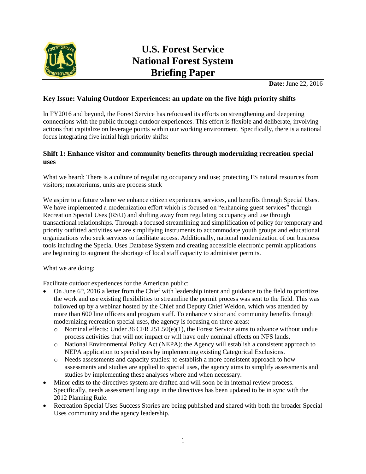

# **U.S. Forest Service National Forest System Briefing Paper**

**Date:** June 22, 2016

## **Key Issue: Valuing Outdoor Experiences: an update on the five high priority shifts**

In FY2016 and beyond, the Forest Service has refocused its efforts on strengthening and deepening connections with the public through outdoor experiences. This effort is flexible and deliberate, involving actions that capitalize on leverage points within our working environment. Specifically, there is a national focus integrating five initial high priority shifts:

## **Shift 1: Enhance visitor and community benefits through modernizing recreation special uses**

What we heard: There is a culture of regulating occupancy and use; protecting FS natural resources from visitors; moratoriums, units are process stuck

We aspire to a future where we enhance citizen experiences, services, and benefits through Special Uses. We have implemented a modernization effort which is focused on "enhancing guest services" through Recreation Special Uses (RSU) and shifting away from regulating occupancy and use through transactional relationships. Through a focused streamlining and simplification of policy for temporary and priority outfitted activities we are simplifying instruments to accommodate youth groups and educational organizations who seek services to facilitate access. Additionally, national modernization of our business tools including the Special Uses Database System and creating accessible electronic permit applications are beginning to augment the shortage of local staff capacity to administer permits.

What we are doing:

Facilitate outdoor experiences for the American public:

- On June  $6<sup>th</sup>$ , 2016 a letter from the Chief with leadership intent and guidance to the field to prioritize the work and use existing flexibilities to streamline the permit process was sent to the field. This was followed up by a webinar hosted by the Chief and Deputy Chief Weldon, which was attended by more than 600 line officers and program staff. To enhance visitor and community benefits through modernizing recreation special uses, the agency is focusing on three areas:
	- o Nominal effects: Under 36 CFR 251.50(e)(1), the Forest Service aims to advance without undue process activities that will not impact or will have only nominal effects on NFS lands.
	- o National Environmental Policy Act (NEPA): the Agency will establish a consistent approach to NEPA application to special uses by implementing existing Categorical Exclusions.
	- o Needs assessments and capacity studies: to establish a more consistent approach to how assessments and studies are applied to special uses, the agency aims to simplify assessments and studies by implementing these analyses where and when necessary.
- Minor edits to the directives system are drafted and will soon be in internal review process. Specifically, needs assessment language in the directives has been updated to be in sync with the 2012 Planning Rule.
- Recreation Special Uses Success Stories are being published and shared with both the broader Special Uses community and the agency leadership.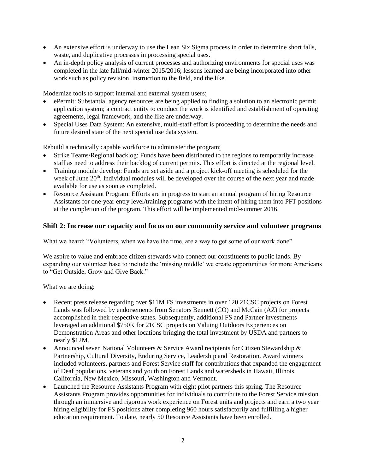- An extensive effort is underway to use the Lean Six Sigma process in order to determine short falls, waste, and duplicative processes in processing special uses.
- An in-depth policy analysis of current processes and authorizing environments for special uses was completed in the late fall/mid-winter 2015/2016; lessons learned are being incorporated into other work such as policy revision, instruction to the field, and the like.

Modernize tools to support internal and external system users:

- ePermit: Substantial agency resources are being applied to finding a solution to an electronic permit application system; a contract entity to conduct the work is identified and establishment of operating agreements, legal framework, and the like are underway.
- Special Uses Data System: An extensive, multi-staff effort is proceeding to determine the needs and future desired state of the next special use data system.

Rebuild a technically capable workforce to administer the program:

- Strike Teams/Regional backlog: Funds have been distributed to the regions to temporarily increase staff as need to address their backlog of current permits. This effort is directed at the regional level.
- Training module develop: Funds are set aside and a project kick-off meeting is scheduled for the week of June 20<sup>th</sup>. Individual modules will be developed over the course of the next year and made available for use as soon as completed.
- Resource Assistant Program: Efforts are in progress to start an annual program of hiring Resource Assistants for one-year entry level/training programs with the intent of hiring them into PFT positions at the completion of the program. This effort will be implemented mid-summer 2016.

#### **Shift 2: Increase our capacity and focus on our community service and volunteer programs**

What we heard: "Volunteers, when we have the time, are a way to get some of our work done"

We aspire to value and embrace citizen stewards who connect our constituents to public lands. By expanding our volunteer base to include the 'missing middle' we create opportunities for more Americans to "Get Outside, Grow and Give Back."

What we are doing:

- Recent press release regarding over \$11M FS investments in over 120 21CSC projects on Forest Lands was followed by endorsements from Senators Bennett (CO) and McCain (AZ) for projects accomplished in their respective states. Subsequently, additional FS and Partner investments leveraged an additional \$750K for 21CSC projects on Valuing Outdoors Experiences on Demonstration Areas and other locations bringing the total investment by USDA and partners to nearly \$12M.
- Announced seven National Volunteers & Service Award recipients for Citizen Stewardship  $\&$ Partnership, Cultural Diversity, Enduring Service, Leadership and Restoration. Award winners included volunteers, partners and Forest Service staff for contributions that expanded the engagement of Deaf populations, veterans and youth on Forest Lands and watersheds in Hawaii, Illinois, California, New Mexico, Missouri, Washington and Vermont.
- Launched the Resource Assistants Program with eight pilot partners this spring. The Resource Assistants Program provides opportunities for individuals to contribute to the Forest Service mission through an immersive and rigorous work experience on Forest units and projects and earn a two year hiring eligibility for FS positions after completing 960 hours satisfactorily and fulfilling a higher education requirement. To date, nearly 50 Resource Assistants have been enrolled.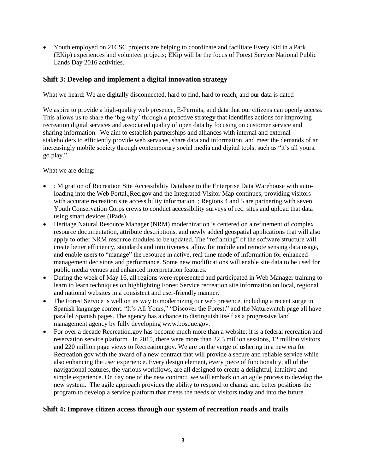Youth employed on 21CSC projects are helping to coordinate and facilitate Every Kid in a Park (EKip) experiences and volunteer projects; EKip will be the focus of Forest Service National Public Lands Day 2016 activities.

#### **Shift 3: Develop and implement a digital innovation strategy**

What we heard: We are digitally disconnected, hard to find, hard to reach, and our data is dated

We aspire to provide a high-quality web presence, E-Permits, and data that our citizens can openly access. This allows us to share the 'big why' through a proactive strategy that identifies actions for improving recreation digital services and associated quality of open data by focusing on customer service and sharing information. We aim to establish partnerships and alliances with internal and external stakeholders to efficiently provide web services, share data and information, and meet the demands of an increasingly mobile society through contemporary social media and digital tools, such as "it's all yours. go.play."

What we are doing:

- : Migration of Recreation Site Accessibility Database to the Enterprise Data Warehouse with autoloading into the Web Portal,,Rec.gov and the Integrated Visitor Map continues, providing visitors with accurate recreation site accessibility information; Regions 4 and 5 are partnering with seven Youth Conservation Corps crews to conduct accessibility surveys of rec. sites and upload that data using smart devices (iPads).
- Heritage Natural Resource Manager (NRM) modernization is centered on a refinement of complex resource documentation, attribute descriptions, and newly added geospatial applications that will also apply to other NRM resource modules to be updated. The "reframing" of the software structure will create better efficiency, standards and intuitiveness, allow for mobile and remote sensing data usage, and enable users to "manage" the resource in active, real time mode of information for enhanced management decisions and performance. Some new modifications will enable site data to be used for public media venues and enhanced interpretation features.
- During the week of May 16, all regions were represented and participated in Web Manager training to learn to learn techniques on highlighting Forest Service recreation site information on local, regional and national websites in a consistent and user-friendly manner.
- The Forest Service is well on its way to modernizing our web presence, including a recent surge in Spanish language content. "It's All Yours," "Discover the Forest," and the Naturewatch page all have parallel Spanish pages. The agency has a chance to distinguish itself as a progressive land management agency by fully developing [www.bosque.gov.](http://www.bosque.gov/)
- For over a decade Recreation.gov has become much more than a website; it is a federal recreation and reservation service platform. In 2015, there were more than 22.3 million sessions, 12 million visitors and 220 million page views to Recreation.gov. We are on the verge of ushering in a new era for Recreation.gov with the award of a new contract that will provide a secure and reliable service while also enhancing the user experience. Every design element, every piece of functionality, all of the navigational features, the various workflows, are all designed to create a delightful, intuitive and simple experience. On day one of the new contract, we will embark on an agile process to develop the new system. The agile approach provides the ability to respond to change and better positions the program to develop a service platform that meets the needs of visitors today and into the future.

#### **Shift 4: Improve citizen access through our system of recreation roads and trails**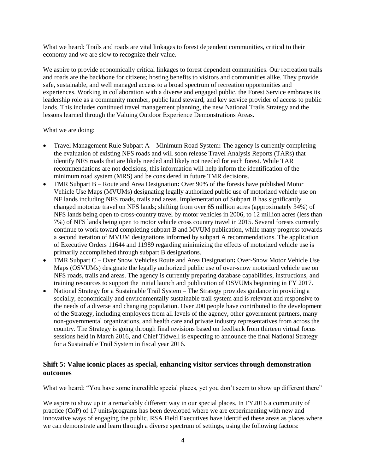What we heard: Trails and roads are vital linkages to forest dependent communities, critical to their economy and we are slow to recognize their value.

We aspire to provide economically critical linkages to forest dependent communities. Our recreation trails and roads are the backbone for citizens; hosting benefits to visitors and communities alike. They provide safe, sustainable, and well managed access to a broad spectrum of recreation opportunities and experiences. Working in collaboration with a diverse and engaged public, the Forest Service embraces its leadership role as a community member, public land steward, and key service provider of access to public lands. This includes continued travel management planning, the new National Trails Strategy and the lessons learned through the Valuing Outdoor Experience Demonstrations Areas.

What we are doing:

- Travel Management Rule Subpart A Minimum Road System**:** The agency is currently completing the evaluation of existing NFS roads and will soon release Travel Analysis Reports (TARs) that identify NFS roads that are likely needed and likely not needed for each forest. While TAR recommendations are not decisions, this information will help inform the identification of the minimum road system (MRS) and be considered in future TMR decisions.
- TMR Subpart B Route and Area Designation**:** Over 90% of the forests have published Motor Vehicle Use Maps (MVUMs) designating legally authorized public use of motorized vehicle use on NF lands including NFS roads, trails and areas. Implementation of Subpart B has significantly changed motorize travel on NFS lands; shifting from over 65 million acres (approximately 34%) of NFS lands being open to cross-country travel by motor vehicles in 2006, to 12 million acres (less than 7%) of NFS lands being open to motor vehicle cross country travel in 2015. Several forests currently continue to work toward completing subpart B and MVUM publication, while many progress towards a second iteration of MVUM designations informed by subpart A recommendations. The application of Executive Orders 11644 and 11989 regarding minimizing the effects of motorized vehicle use is primarily accomplished through subpart B designations.
- TMR Subpart C Over Snow Vehicles Route and Area Designation**:** Over-Snow Motor Vehicle Use Maps (OSVUMs) designate the legally authorized public use of over-snow motorized vehicle use on NFS roads, trails and areas. The agency is currently preparing database capabilities, instructions, and training resources to support the initial launch and publication of OSVUMs beginning in FY 2017.
- National Strategy for a Sustainable Trail System The Strategy provides guidance in providing a socially, economically and environmentally sustainable trail system and is relevant and responsive to the needs of a diverse and changing population. Over 200 people have contributed to the development of the Strategy, including employees from all levels of the agency, other government partners, many non-governmental organizations, and health care and private industry representatives from across the country. The Strategy is going through final revisions based on feedback from thirteen virtual focus sessions held in March 2016, and Chief Tidwell is expecting to announce the final National Strategy for a Sustainable Trail System in fiscal year 2016.

### **Shift 5: Value iconic places as special, enhancing visitor services through demonstration outcomes**

What we heard: "You have some incredible special places, yet you don't seem to show up different there"

We aspire to show up in a remarkably different way in our special places. In FY2016 a community of practice (CoP) of 17 units/programs has been developed where we are experimenting with new and innovative ways of engaging the public. RSA Field Executives have identified these areas as places where we can demonstrate and learn through a diverse spectrum of settings, using the following factors: